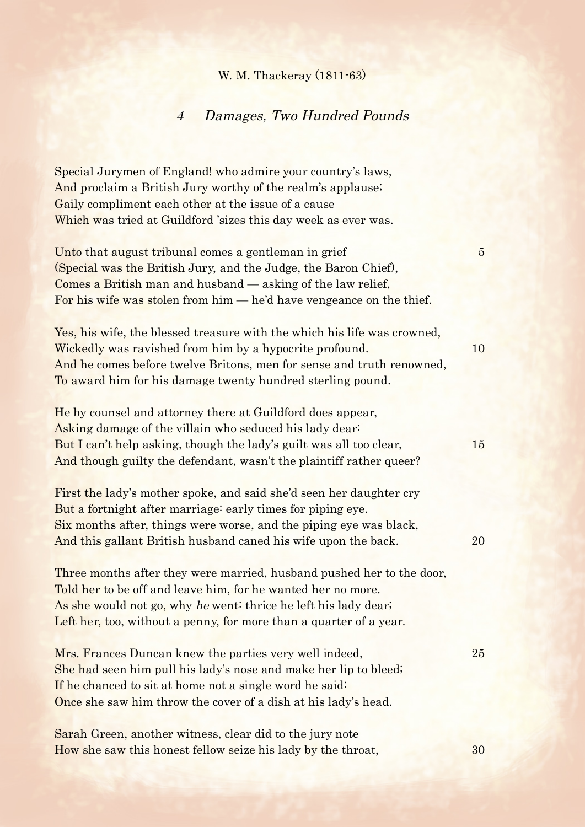## W. M. Thackeray (1811-63)

## 4 Damages, Two Hundred Pounds

Special Jurymen of England! who admire your country's laws, And proclaim a British Jury worthy of the realm's applause; Gaily compliment each other at the issue of a cause Which was tried at Guildford 'sizes this day week as ever was.

Unto that august tribunal comes a gentleman in grief 5 (Special was the British Jury, and the Judge, the Baron Chief), Comes a British man and husband — asking of the law relief, For his wife was stolen from him — he'd have vengeance on the thief.

Yes, his wife, the blessed treasure with the which his life was crowned, Wickedly was ravished from him by a hypocrite profound. 10 And he comes before twelve Britons, men for sense and truth renowned, To award him for his damage twenty hundred sterling pound.

He by counsel and attorney there at Guildford does appear, Asking damage of the villain who seduced his lady dear: But I can't help asking, though the lady's guilt was all too clear, 15 And though guilty the defendant, wasn't the plaintiff rather queer?

First the lady's mother spoke, and said she'd seen her daughter cry But a fortnight after marriage: early times for piping eye. Six months after, things were worse, and the piping eye was black, And this gallant British husband caned his wife upon the back. 20

Three months after they were married, husband pushed her to the door, Told her to be off and leave him, for he wanted her no more. As she would not go, why he went: thrice he left his lady dear; Left her, too, without a penny, for more than a quarter of a year.

Mrs. Frances Duncan knew the parties very well indeed, 25 She had seen him pull his lady's nose and make her lip to bleed; If he chanced to sit at home not a single word he said: Once she saw him throw the cover of a dish at his lady's head.

Sarah Green, another witness, clear did to the jury note How she saw this honest fellow seize his lady by the throat, 30